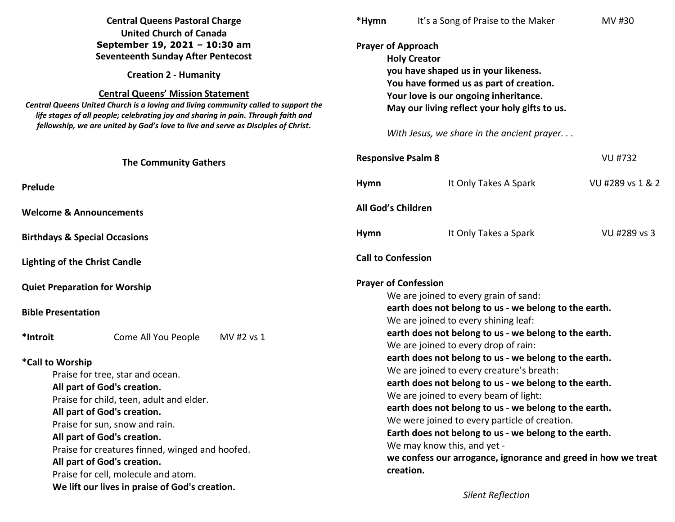| <b>Central Queens Pastoral Charge</b><br><b>United Church of Canada</b>                                                                                                  |                                               | *Hymn                     | It's a Song of Praise to the Maker                                                                                                                     | MV #30                                |                 |  |  |  |
|--------------------------------------------------------------------------------------------------------------------------------------------------------------------------|-----------------------------------------------|---------------------------|--------------------------------------------------------------------------------------------------------------------------------------------------------|---------------------------------------|-----------------|--|--|--|
| September 19, 2021 - 10:30 am                                                                                                                                            |                                               |                           | <b>Prayer of Approach</b>                                                                                                                              |                                       |                 |  |  |  |
|                                                                                                                                                                          | <b>Seventeenth Sunday After Pentecost</b>     |                           |                                                                                                                                                        | <b>Holy Creator</b>                   |                 |  |  |  |
|                                                                                                                                                                          | <b>Creation 2 - Humanity</b>                  |                           |                                                                                                                                                        | you have shaped us in your likeness.  |                 |  |  |  |
|                                                                                                                                                                          | <b>Central Queens' Mission Statement</b>      |                           | You have formed us as part of creation.                                                                                                                |                                       |                 |  |  |  |
| Central Queens United Church is a loving and living community called to support the<br>life stages of all people; celebrating joy and sharing in pain. Through faith and |                                               |                           | Your love is our ongoing inheritance.<br>May our living reflect your holy gifts to us.<br>With Jesus, we share in the ancient prayer                   |                                       |                 |  |  |  |
| fellowship, we are united by God's love to live and serve as Disciples of Christ.                                                                                        |                                               |                           |                                                                                                                                                        |                                       |                 |  |  |  |
| <b>The Community Gathers</b>                                                                                                                                             |                                               | <b>Responsive Psalm 8</b> |                                                                                                                                                        | <b>VU #732</b>                        |                 |  |  |  |
| <b>Prelude</b>                                                                                                                                                           |                                               |                           | Hymn                                                                                                                                                   | It Only Takes A Spark                 | VU#289 vs 1 & 2 |  |  |  |
| <b>Welcome &amp; Announcements</b>                                                                                                                                       |                                               | All God's Children        |                                                                                                                                                        |                                       |                 |  |  |  |
| <b>Birthdays &amp; Special Occasions</b>                                                                                                                                 |                                               |                           | <b>Hymn</b>                                                                                                                                            | It Only Takes a Spark                 | VU #289 vs 3    |  |  |  |
| <b>Lighting of the Christ Candle</b>                                                                                                                                     |                                               |                           | <b>Call to Confession</b>                                                                                                                              |                                       |                 |  |  |  |
| <b>Quiet Preparation for Worship</b>                                                                                                                                     |                                               |                           | <b>Prayer of Confession</b>                                                                                                                            |                                       |                 |  |  |  |
|                                                                                                                                                                          |                                               |                           |                                                                                                                                                        | We are joined to every grain of sand: |                 |  |  |  |
| <b>Bible Presentation</b>                                                                                                                                                |                                               |                           | earth does not belong to us - we belong to the earth.<br>We are joined to every shining leaf:<br>earth does not belong to us - we belong to the earth. |                                       |                 |  |  |  |
|                                                                                                                                                                          |                                               |                           |                                                                                                                                                        |                                       |                 |  |  |  |
|                                                                                                                                                                          | *Introit<br>Come All You People<br>MV #2 vs 1 |                           | We are joined to every drop of rain:                                                                                                                   |                                       |                 |  |  |  |
| *Call to Worship                                                                                                                                                         |                                               |                           | earth does not belong to us - we belong to the earth.                                                                                                  |                                       |                 |  |  |  |
| Praise for tree, star and ocean.                                                                                                                                         |                                               |                           | We are joined to every creature's breath:                                                                                                              |                                       |                 |  |  |  |
| All part of God's creation.                                                                                                                                              |                                               |                           | earth does not belong to us - we belong to the earth.                                                                                                  |                                       |                 |  |  |  |
| Praise for child, teen, adult and elder.                                                                                                                                 |                                               |                           | We are joined to every beam of light:                                                                                                                  |                                       |                 |  |  |  |
| All part of God's creation.                                                                                                                                              |                                               |                           | earth does not belong to us - we belong to the earth.                                                                                                  |                                       |                 |  |  |  |
| Praise for sun, snow and rain.                                                                                                                                           |                                               |                           | We were joined to every particle of creation.<br>Earth does not belong to us - we belong to the earth.                                                 |                                       |                 |  |  |  |
| All part of God's creation.                                                                                                                                              |                                               |                           |                                                                                                                                                        |                                       |                 |  |  |  |
| Praise for creatures finned, winged and hoofed.                                                                                                                          |                                               |                           | We may know this, and yet -<br>we confess our arrogance, ignorance and greed in how we treat                                                           |                                       |                 |  |  |  |
| All part of God's creation.                                                                                                                                              |                                               |                           |                                                                                                                                                        |                                       |                 |  |  |  |
| Praise for cell, molecule and atom.                                                                                                                                      |                                               |                           |                                                                                                                                                        | creation.                             |                 |  |  |  |
| We lift our lives in praise of God's creation.                                                                                                                           |                                               |                           |                                                                                                                                                        |                                       |                 |  |  |  |

*Silent Reflection*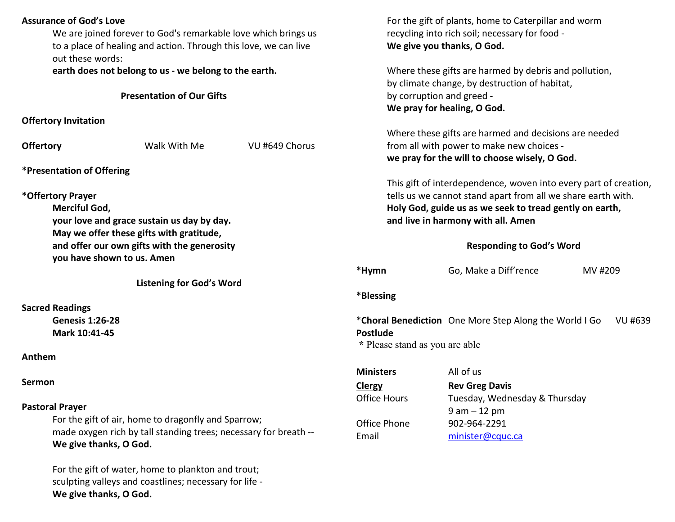| <b>Assurance of God's Love</b>                                                                                                                    | We are joined forever to God's remarkable love which brings us<br>to a place of healing and action. Through this love, we can live |                                                           | For the gift of plants, home to Caterpillar and worm<br>recycling into rich soil; necessary for food -<br>We give you thanks, O God.                                                                                              |                                                        |         |         |  |
|---------------------------------------------------------------------------------------------------------------------------------------------------|------------------------------------------------------------------------------------------------------------------------------------|-----------------------------------------------------------|-----------------------------------------------------------------------------------------------------------------------------------------------------------------------------------------------------------------------------------|--------------------------------------------------------|---------|---------|--|
| out these words:                                                                                                                                  | earth does not belong to us - we belong to the earth.                                                                              |                                                           | Where these gifts are harmed by debris and pollution,<br>by climate change, by destruction of habitat,                                                                                                                            |                                                        |         |         |  |
|                                                                                                                                                   | <b>Presentation of Our Gifts</b>                                                                                                   |                                                           | by corruption and greed -<br>We pray for healing, O God.                                                                                                                                                                          |                                                        |         |         |  |
| <b>Offertory Invitation</b>                                                                                                                       |                                                                                                                                    |                                                           |                                                                                                                                                                                                                                   |                                                        |         |         |  |
| <b>Offertory</b>                                                                                                                                  | Walk With Me<br>VU #649 Chorus                                                                                                     |                                                           | Where these gifts are harmed and decisions are needed<br>from all with power to make new choices -<br>we pray for the will to choose wisely, O God.                                                                               |                                                        |         |         |  |
| <i><b>*Presentation of Offering</b></i>                                                                                                           |                                                                                                                                    |                                                           |                                                                                                                                                                                                                                   |                                                        |         |         |  |
| *Offertory Prayer<br>Merciful God,<br>your love and grace sustain us day by day.                                                                  |                                                                                                                                    |                                                           | This gift of interdependence, woven into every part of creation,<br>tells us we cannot stand apart from all we share earth with.<br>Holy God, guide us as we seek to tread gently on earth,<br>and live in harmony with all. Amen |                                                        |         |         |  |
| May we offer these gifts with gratitude,<br>and offer our own gifts with the generosity<br>you have shown to us. Amen                             |                                                                                                                                    |                                                           | <b>Responding to God's Word</b>                                                                                                                                                                                                   |                                                        |         |         |  |
|                                                                                                                                                   |                                                                                                                                    |                                                           | *Hymn                                                                                                                                                                                                                             | Go, Make a Diff'rence                                  | MV #209 |         |  |
|                                                                                                                                                   | <b>Listening for God's Word</b>                                                                                                    |                                                           |                                                                                                                                                                                                                                   |                                                        |         |         |  |
| <b>Sacred Readings</b>                                                                                                                            |                                                                                                                                    |                                                           | *Blessing                                                                                                                                                                                                                         |                                                        |         |         |  |
| <b>Genesis 1:26-28</b>                                                                                                                            |                                                                                                                                    |                                                           |                                                                                                                                                                                                                                   | *Choral Benediction One More Step Along the World I Go |         | VU #639 |  |
| Mark 10:41-45                                                                                                                                     |                                                                                                                                    |                                                           | Postlude<br>* Please stand as you are able                                                                                                                                                                                        |                                                        |         |         |  |
| Anthem                                                                                                                                            |                                                                                                                                    |                                                           |                                                                                                                                                                                                                                   |                                                        |         |         |  |
|                                                                                                                                                   |                                                                                                                                    |                                                           | <b>Ministers</b>                                                                                                                                                                                                                  | All of us                                              |         |         |  |
| Sermon                                                                                                                                            |                                                                                                                                    |                                                           | <b>Clergy</b><br><b>Office Hours</b>                                                                                                                                                                                              | <b>Rev Greg Davis</b><br>Tuesday, Wednesday & Thursday |         |         |  |
| <b>Pastoral Prayer</b>                                                                                                                            |                                                                                                                                    |                                                           |                                                                                                                                                                                                                                   | $9 am - 12 pm$                                         |         |         |  |
| For the gift of air, home to dragonfly and Sparrow;<br>made oxygen rich by tall standing trees; necessary for breath --<br>We give thanks, O God. |                                                                                                                                    | Office Phone<br>902-964-2291<br>Email<br>minister@cquc.ca |                                                                                                                                                                                                                                   |                                                        |         |         |  |
| We give thanks, O God.                                                                                                                            | For the gift of water, home to plankton and trout;<br>sculpting valleys and coastlines; necessary for life -                       |                                                           |                                                                                                                                                                                                                                   |                                                        |         |         |  |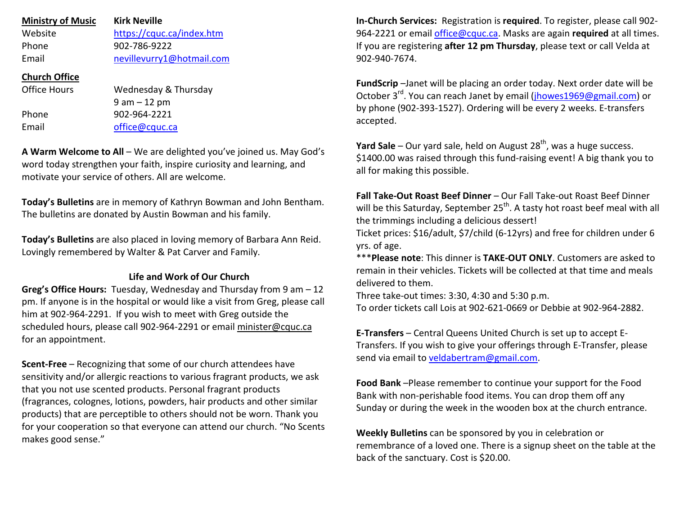| <b>Ministry of Music</b><br>Website<br>Phone<br>Email | <b>Kirk Neville</b><br>https://cquc.ca/index.htm<br>902-786-9222<br>nevillevurry1@hotmail.com |
|-------------------------------------------------------|-----------------------------------------------------------------------------------------------|
| <b>Church Office</b>                                  |                                                                                               |
| Office Hours                                          | Wednesday & Thursday                                                                          |
|                                                       | $9$ am $-12$ pm                                                                               |
| Phone                                                 | 902-964-2221                                                                                  |
| Email                                                 | office@cquc.ca                                                                                |
|                                                       |                                                                                               |

**A Warm Welcome to All** – We are delighted you've joined us. May God's word today strengthen your faith, inspire curiosity and learning, and motivate your service of others. All are welcome.

**Today's Bulletins** are in memory of Kathryn Bowman and John Bentham. The bulletins are donated by Austin Bowman and his family.

**Today's Bulletins** are also placed in loving memory of Barbara Ann Reid. Lovingly remembered by Walter & Pat Carver and Family.

## **Life and Work of Our Church**

**Greg's Office Hours:** Tuesday, Wednesday and Thursday from 9 am – 12 pm. If anyone is in the hospital or would like a visit from Greg, please call him at 902-964-2291. If you wish to meet with Greg outside the scheduled hours, please call 902-964-2291 or email minister@cquc.ca for an appointment.

**Scent-Free** – Recognizing that some of our church attendees have sensitivity and/or allergic reactions to various fragrant products, we ask that you not use scented products. Personal fragrant products (fragrances, colognes, lotions, powders, hair products and other similar products) that are perceptible to others should not be worn. Thank you for your cooperation so that everyone can attend our church. "No Scents makes good sense."

**In-Church Services:** Registration is **required**. To register, please call 902- 964-2221 or email office@cquc.ca. Masks are again **required** at all times. If you are registering **after 12 pm Thursday**, please text or call Velda at 902-940-7674.

**FundScrip** –Janet will be placing an order today. Next order date will be October 3<sup>rd</sup>. You can reach Janet by email (jhowes1969@gmail.com) or by phone (902-393-1527). Ordering will be every 2 weeks. E-transfers accepted.

**Yard Sale** – Our yard sale, held on August 28<sup>th</sup>, was a huge success. \$1400.00 was raised through this fund-raising event! A big thank you to all for making this possible.

**Fall Take-Out Roast Beef Dinner** – Our Fall Take-out Roast Beef Dinner will be this Saturday, September 25<sup>th</sup>. A tasty hot roast beef meal with all the trimmings including a delicious dessert!

 Ticket prices: \$16/adult, \$7/child (6-12yrs) and free for children under 6 yrs. of age.

\*\*\***Please note**: This dinner is **TAKE-OUT ONLY**. Customers are asked to remain in their vehicles. Tickets will be collected at that time and meals delivered to them.

Three take-out times: 3:30, 4:30 and 5:30 p.m.

To order tickets call Lois at 902-621-0669 or Debbie at 902-964-2882.

**E-Transfers** – Central Queens United Church is set up to accept E-Transfers. If you wish to give your offerings through E-Transfer, please send via email to veldabertram@gmail.com.

**Food Bank** –Please remember to continue your support for the Food Bank with non-perishable food items. You can drop them off any Sunday or during the week in the wooden box at the church entrance.

**Weekly Bulletins** can be sponsored by you in celebration or remembrance of a loved one. There is a signup sheet on the table at the back of the sanctuary. Cost is \$20.00.